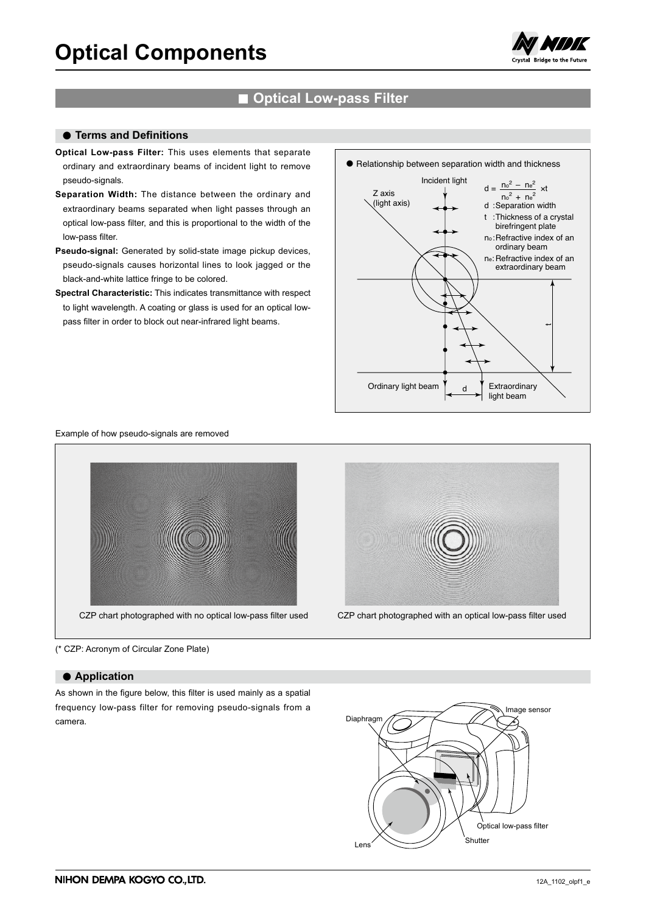

# **■ Optical Low-pass Filter**

## **● Terms and Definitions**

- **Optical Low-pass Filter:** This uses elements that separate ordinary and extraordinary beams of incident light to remove pseudo-signals.
- **Separation Width:** The distance between the ordinary and extraordinary beams separated when light passes through an optical low-pass filter, and this is proportional to the width of the low-pass filter.
- **Pseudo-signal:** Generated by solid-state image pickup devices, pseudo-signals causes horizontal lines to look jagged or the black-and-white lattice fringe to be colored.
- **Spectral Characteristic:** This indicates transmittance with respect to light wavelength. A coating or glass is used for an optical lowpass filter in order to block out near-infrared light beams.



Example of how pseudo-signals are removed





(\* CZP: Acronym of Circular Zone Plate)

## **● Application**

As shown in the figure below, this filter is used mainly as a spatial frequency low-pass filter for removing pseudo-signals from a camera.

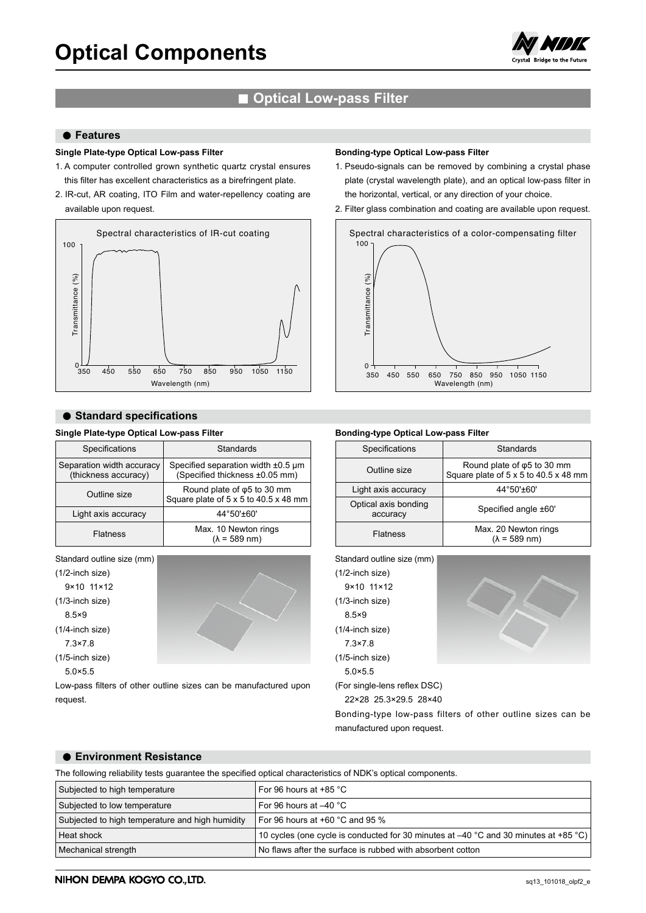

# **■ Optical Low-pass Filter**

## **● Features**

## **Single Plate-type Optical Low-pass Filter**

- 1. A computer controlled grown synthetic quartz crystal ensures this filter has excellent characteristics as a birefringent plate.
- 2. IR-cut, AR coating, ITO Film and water-repellency coating are available upon request.



## **● Standard specifications**

## **Single Plate-type Optical Low-pass Filter**

| Specifications                                    | Standards                                                                    |  |  |
|---------------------------------------------------|------------------------------------------------------------------------------|--|--|
| Separation width accuracy<br>(thickness accuracy) | Specified separation width $±0.5 \mu m$<br>(Specified thickness ±0.05 mm)    |  |  |
| Outline size                                      | Round plate of $\varphi$ 5 to 30 mm<br>Square plate of 5 x 5 to 40.5 x 48 mm |  |  |
| Light axis accuracy                               | 44°50'±60'                                                                   |  |  |
| <b>Flatness</b>                                   | Max. 10 Newton rings<br>$(\lambda = 589$ nm)                                 |  |  |

Standard outline size (mm) (1/2-inch size) 9×10 11×12 (1/3-inch size) 8.5×9 (1/4-inch size) 7.3×7.8 (1/5-inch size) 5.0×5.5

Low-pass filters of other outline sizes can be manufactured upon request.

#### **Bonding-type Optical Low-pass Filter**

- 1. Pseudo-signals can be removed by combining a crystal phase plate (crystal wavelength plate), and an optical low-pass filter in the horizontal, vertical, or any direction of your choice.
- 2. Filter glass combination and coating are available upon request.



#### **Bonding-type Optical Low-pass Filter**

|  | Specifications                   | Standards                                                                    |  |  |
|--|----------------------------------|------------------------------------------------------------------------------|--|--|
|  | Outline size                     | Round plate of $\varphi$ 5 to 30 mm<br>Square plate of 5 x 5 to 40.5 x 48 mm |  |  |
|  | Light axis accuracy              | 44°50'±60'                                                                   |  |  |
|  | Optical axis bonding<br>accuracy | Specified angle ±60'                                                         |  |  |
|  | <b>Flatness</b>                  | Max. 20 Newton rings<br>$(\lambda = 589$ nm)                                 |  |  |



22×28 25.3×29.5 28×40

Bonding-type low-pass filters of other outline sizes can be manufactured upon request.

## **● Environment Resistance**

The following reliability tests guarantee the specified optical characteristics of NDK's optical components.

| Subjected to high temperature                   | For 96 hours at $+85$ °C                                                               |
|-------------------------------------------------|----------------------------------------------------------------------------------------|
| Subjected to low temperature                    | For 96 hours at $-40$ °C                                                               |
| Subjected to high temperature and high humidity | For 96 hours at $+60$ °C and 95 %                                                      |
| Heat shock                                      | 10 cycles (one cycle is conducted for 30 minutes at $-40$ °C and 30 minutes at +85 °C) |
| Mechanical strength                             | No flaws after the surface is rubbed with absorbent cotton                             |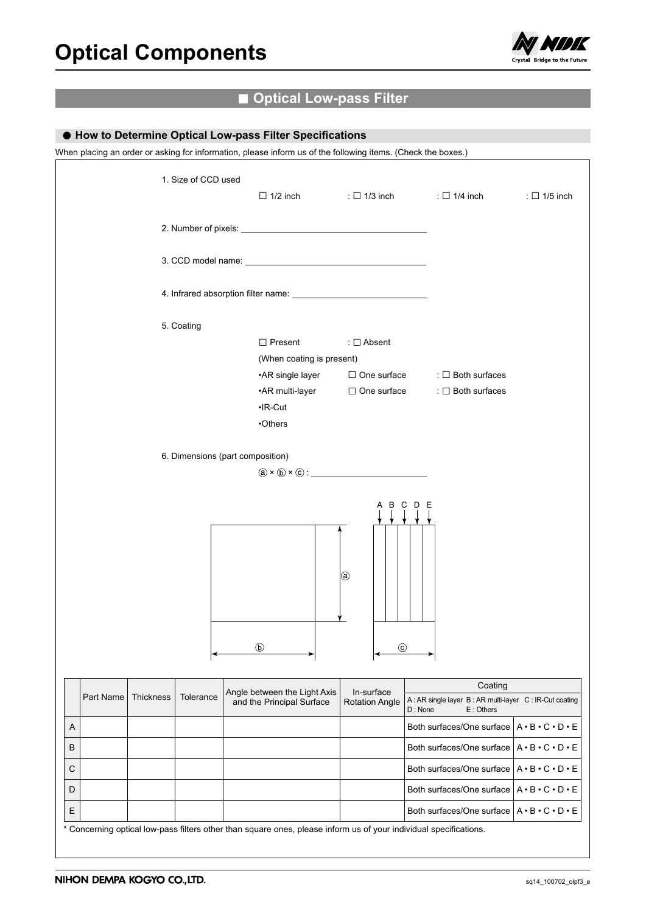

# **■ Optical Low-pass Filter**

## **● How to Determine Optical Low-pass Filter Specifications**

When placing an order or asking for information, please inform us of the following items. (Check the boxes.)

|   |           |           | 1. Size of CCD used |                                                                                                                   |                           | $\Box$ 1/2 inch : $\Box$ 1/3 inch : $\Box$ 1/4 inch                            | : $\Box$ 1/5 inch                   |
|---|-----------|-----------|---------------------|-------------------------------------------------------------------------------------------------------------------|---------------------------|--------------------------------------------------------------------------------|-------------------------------------|
|   |           |           |                     |                                                                                                                   |                           |                                                                                |                                     |
|   |           |           |                     |                                                                                                                   |                           |                                                                                |                                     |
|   |           |           |                     |                                                                                                                   |                           |                                                                                |                                     |
|   |           |           | 5. Coating          | $\Box$ Present                                                                                                    |                           |                                                                                |                                     |
|   |           |           |                     |                                                                                                                   | : $\Box$ Absent           |                                                                                |                                     |
|   |           |           |                     | (When coating is present)                                                                                         |                           |                                                                                |                                     |
|   |           |           |                     |                                                                                                                   |                           | • AR single layer $\Box$ One surface : $\Box$ Both surfaces                    |                                     |
|   |           |           |                     |                                                                                                                   |                           | •AR multi-layer □ One surface : □ Both surfaces                                |                                     |
|   |           |           |                     | $\cdot$ IR-Cut                                                                                                    |                           |                                                                                |                                     |
|   |           |           |                     | •Others                                                                                                           |                           |                                                                                |                                     |
|   |           |           |                     | 6. Dimensions (part composition)<br>$\mathbf{a} \times \mathbf{b} \times \mathbf{c}$ :<br>$\circled{b}$           | <b>a</b><br>$\circled{c}$ | A B C D E<br>├╾╾╾╾┥                                                            |                                     |
|   |           |           |                     | Angle between the Light Axis                                                                                      | In-surface                | Coating                                                                        |                                     |
|   | Part Name | Thickness | Tolerance           | and the Principal Surface                                                                                         | <b>Rotation Angle</b>     | A: AR single layer B: AR multi-layer C: IR-Cut coating<br>E: Others<br>D: None |                                     |
| Α |           |           |                     |                                                                                                                   |                           | Both surfaces/One surface                                                      | $A \cdot B \cdot C \cdot D \cdot E$ |
| В |           |           |                     |                                                                                                                   |                           | Both surfaces/One surface $A \cdot B \cdot C \cdot D \cdot E$                  |                                     |
| С |           |           |                     |                                                                                                                   |                           | Both surfaces/One surface $A \cdot B \cdot C \cdot D \cdot E$                  |                                     |
| D |           |           |                     |                                                                                                                   |                           | Both surfaces/One surface                                                      | $A \cdot B \cdot C \cdot D \cdot E$ |
| Ε |           |           |                     |                                                                                                                   |                           | Both surfaces/One surface $A \cdot B \cdot C \cdot D \cdot E$                  |                                     |
|   |           |           |                     | * Concerning optical low-pass filters other than square ones, please inform us of your individual specifications. |                           |                                                                                |                                     |